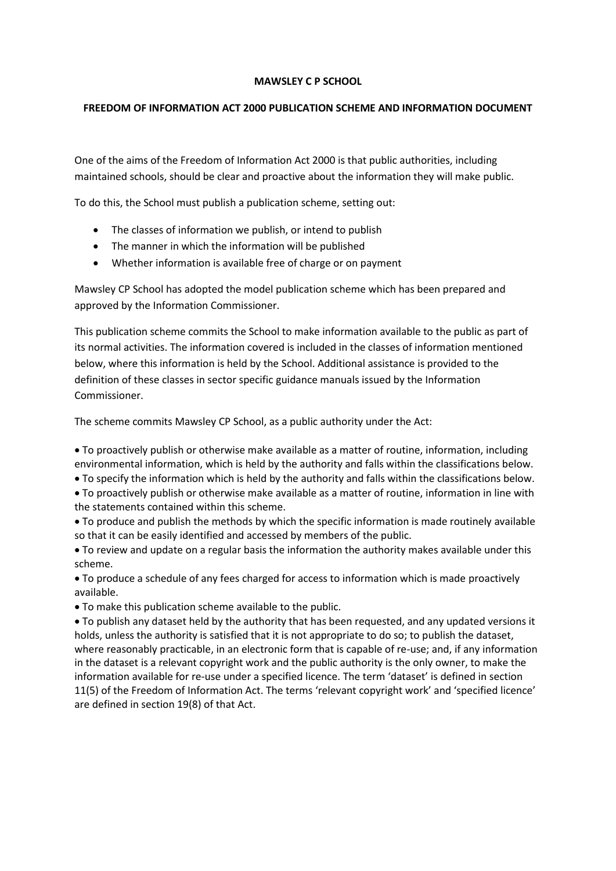## **MAWSLEY C P SCHOOL**

## **FREEDOM OF INFORMATION ACT 2000 PUBLICATION SCHEME AND INFORMATION DOCUMENT**

One of the aims of the Freedom of Information Act 2000 is that public authorities, including maintained schools, should be clear and proactive about the information they will make public.

To do this, the School must publish a publication scheme, setting out:

- The classes of information we publish, or intend to publish
- The manner in which the information will be published
- Whether information is available free of charge or on payment

Mawsley CP School has adopted the model publication scheme which has been prepared and approved by the Information Commissioner.

This publication scheme commits the School to make information available to the public as part of its normal activities. The information covered is included in the classes of information mentioned below, where this information is held by the School. Additional assistance is provided to the definition of these classes in sector specific guidance manuals issued by the Information Commissioner.

The scheme commits Mawsley CP School, as a public authority under the Act:

 To proactively publish or otherwise make available as a matter of routine, information, including environmental information, which is held by the authority and falls within the classifications below.

To specify the information which is held by the authority and falls within the classifications below.

 To proactively publish or otherwise make available as a matter of routine, information in line with the statements contained within this scheme.

 To produce and publish the methods by which the specific information is made routinely available so that it can be easily identified and accessed by members of the public.

 To review and update on a regular basis the information the authority makes available under this scheme.

 To produce a schedule of any fees charged for access to information which is made proactively available.

To make this publication scheme available to the public.

 To publish any dataset held by the authority that has been requested, and any updated versions it holds, unless the authority is satisfied that it is not appropriate to do so; to publish the dataset, where reasonably practicable, in an electronic form that is capable of re-use; and, if any information in the dataset is a relevant copyright work and the public authority is the only owner, to make the information available for re-use under a specified licence. The term 'dataset' is defined in section 11(5) of the Freedom of Information Act. The terms 'relevant copyright work' and 'specified licence' are defined in section 19(8) of that Act.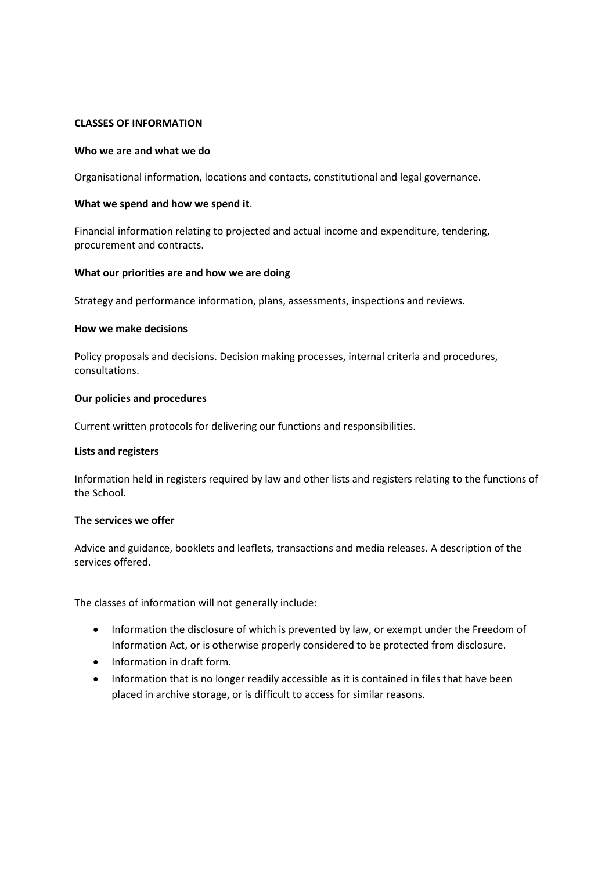## **CLASSES OF INFORMATION**

#### **Who we are and what we do**

Organisational information, locations and contacts, constitutional and legal governance.

#### **What we spend and how we spend it**.

Financial information relating to projected and actual income and expenditure, tendering, procurement and contracts.

#### **What our priorities are and how we are doing**

Strategy and performance information, plans, assessments, inspections and reviews.

#### **How we make decisions**

Policy proposals and decisions. Decision making processes, internal criteria and procedures, consultations.

#### **Our policies and procedures**

Current written protocols for delivering our functions and responsibilities.

#### **Lists and registers**

Information held in registers required by law and other lists and registers relating to the functions of the School.

#### **The services we offer**

Advice and guidance, booklets and leaflets, transactions and media releases. A description of the services offered.

The classes of information will not generally include:

- Information the disclosure of which is prevented by law, or exempt under the Freedom of Information Act, or is otherwise properly considered to be protected from disclosure.
- Information in draft form.
- Information that is no longer readily accessible as it is contained in files that have been placed in archive storage, or is difficult to access for similar reasons.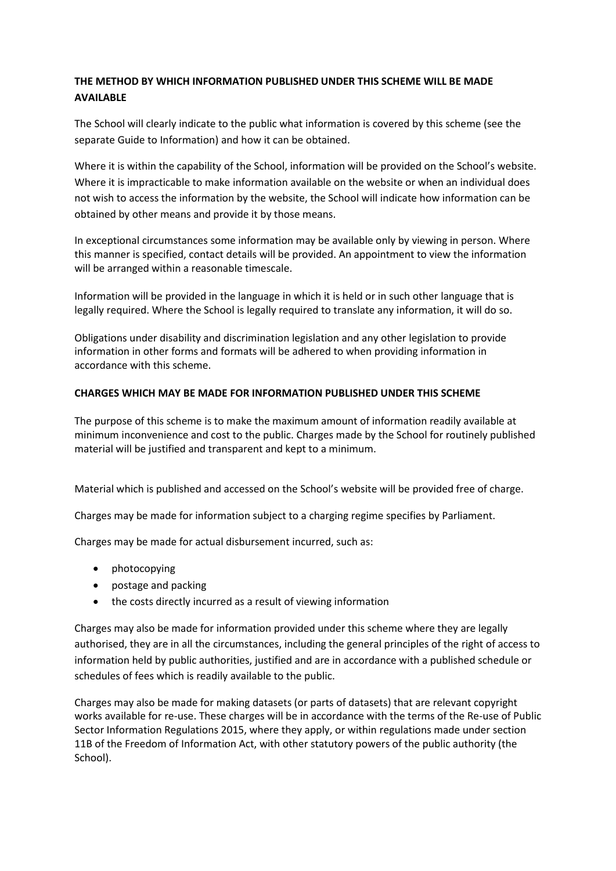# **THE METHOD BY WHICH INFORMATION PUBLISHED UNDER THIS SCHEME WILL BE MADE AVAILABLE**

The School will clearly indicate to the public what information is covered by this scheme (see the separate Guide to Information) and how it can be obtained.

Where it is within the capability of the School, information will be provided on the School's website. Where it is impracticable to make information available on the website or when an individual does not wish to access the information by the website, the School will indicate how information can be obtained by other means and provide it by those means.

In exceptional circumstances some information may be available only by viewing in person. Where this manner is specified, contact details will be provided. An appointment to view the information will be arranged within a reasonable timescale.

Information will be provided in the language in which it is held or in such other language that is legally required. Where the School is legally required to translate any information, it will do so.

Obligations under disability and discrimination legislation and any other legislation to provide information in other forms and formats will be adhered to when providing information in accordance with this scheme.

## **CHARGES WHICH MAY BE MADE FOR INFORMATION PUBLISHED UNDER THIS SCHEME**

The purpose of this scheme is to make the maximum amount of information readily available at minimum inconvenience and cost to the public. Charges made by the School for routinely published material will be justified and transparent and kept to a minimum.

Material which is published and accessed on the School's website will be provided free of charge.

Charges may be made for information subject to a charging regime specifies by Parliament.

Charges may be made for actual disbursement incurred, such as:

- photocopying
- postage and packing
- the costs directly incurred as a result of viewing information

Charges may also be made for information provided under this scheme where they are legally authorised, they are in all the circumstances, including the general principles of the right of access to information held by public authorities, justified and are in accordance with a published schedule or schedules of fees which is readily available to the public.

Charges may also be made for making datasets (or parts of datasets) that are relevant copyright works available for re-use. These charges will be in accordance with the terms of the Re-use of Public Sector Information Regulations 2015, where they apply, or within regulations made under section 11B of the Freedom of Information Act, with other statutory powers of the public authority (the School).